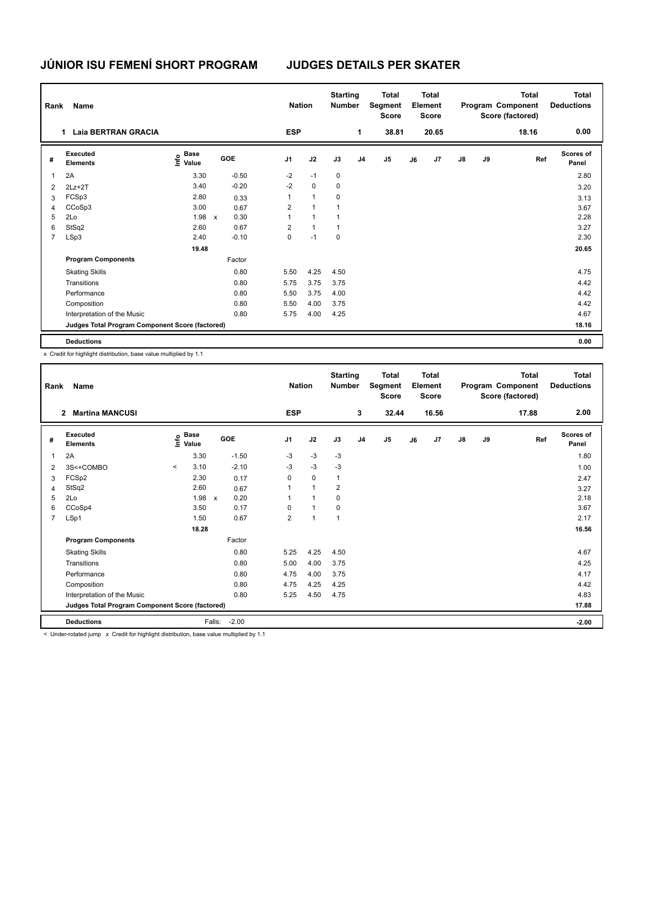## **JÚNIOR ISU FEMENÍ SHORT PROGRAM JUDGES DETAILS PER SKATER**

|   | Rank<br>Name                                    |                                           |              |         |                |                      | <b>Nation</b> | <b>Starting</b><br><b>Number</b> |                | <b>Total</b><br>Segment<br><b>Score</b> | <b>Total</b><br>Element<br><b>Score</b> |                |               |    | <b>Total</b><br>Program Component<br>Score (factored) | <b>Total</b><br><b>Deductions</b> |
|---|-------------------------------------------------|-------------------------------------------|--------------|---------|----------------|----------------------|---------------|----------------------------------|----------------|-----------------------------------------|-----------------------------------------|----------------|---------------|----|-------------------------------------------------------|-----------------------------------|
|   | <b>Laia BERTRAN GRACIA</b>                      |                                           |              |         | <b>ESP</b>     |                      |               |                                  | 1              | 38.81                                   |                                         | 20.65          |               |    | 18.16                                                 | 0.00                              |
| # | Executed<br><b>Elements</b>                     | $\frac{e}{E}$ Base<br>$\frac{E}{E}$ Value | GOE          |         | J <sub>1</sub> | J2                   |               | J3                               | J <sub>4</sub> | J5                                      | J6                                      | J <sub>7</sub> | $\mathsf{J}8$ | J9 | Ref                                                   | <b>Scores of</b><br>Panel         |
|   | 2A                                              | 3.30                                      |              | $-0.50$ | $-2$           | $-1$                 |               | $\mathbf 0$                      |                |                                         |                                         |                |               |    |                                                       | 2.80                              |
| 2 | $2Lz+2T$                                        | 3.40                                      |              | $-0.20$ | $-2$           | $\mathbf 0$          |               | 0                                |                |                                         |                                         |                |               |    |                                                       | 3.20                              |
| 3 | FCSp3                                           | 2.80                                      |              | 0.33    | 1              | 1                    |               | 0                                |                |                                         |                                         |                |               |    |                                                       | 3.13                              |
| 4 | CCoSp3                                          | 3.00                                      |              | 0.67    | 2              | $\blacktriangleleft$ |               | 1                                |                |                                         |                                         |                |               |    |                                                       | 3.67                              |
| 5 | 2Lo                                             | 1.98                                      | $\mathsf{x}$ | 0.30    | 1              | $\blacktriangleleft$ |               | $\mathbf{1}$                     |                |                                         |                                         |                |               |    |                                                       | 2.28                              |
| 6 | StSq2                                           | 2.60                                      |              | 0.67    | $\overline{2}$ | $\mathbf{1}$         |               | 1                                |                |                                         |                                         |                |               |    |                                                       | 3.27                              |
| 7 | LSp3                                            | 2.40                                      |              | $-0.10$ | 0              | $-1$                 |               | 0                                |                |                                         |                                         |                |               |    |                                                       | 2.30                              |
|   |                                                 | 19.48                                     |              |         |                |                      |               |                                  |                |                                         |                                         |                |               |    |                                                       | 20.65                             |
|   | <b>Program Components</b>                       |                                           |              | Factor  |                |                      |               |                                  |                |                                         |                                         |                |               |    |                                                       |                                   |
|   | <b>Skating Skills</b>                           |                                           |              | 0.80    | 5.50           |                      | 4.25          | 4.50                             |                |                                         |                                         |                |               |    |                                                       | 4.75                              |
|   | Transitions                                     |                                           |              | 0.80    | 5.75           |                      | 3.75          | 3.75                             |                |                                         |                                         |                |               |    |                                                       | 4.42                              |
|   | Performance                                     |                                           |              | 0.80    | 5.50           |                      | 3.75          | 4.00                             |                |                                         |                                         |                |               |    |                                                       | 4.42                              |
|   | Composition                                     |                                           |              | 0.80    | 5.50           |                      | 4.00          | 3.75                             |                |                                         |                                         |                |               |    |                                                       | 4.42                              |
|   | Interpretation of the Music                     |                                           |              | 0.80    | 5.75           |                      | 4.00          | 4.25                             |                |                                         |                                         |                |               |    |                                                       | 4.67                              |
|   | Judges Total Program Component Score (factored) |                                           |              |         |                |                      |               |                                  |                |                                         |                                         |                |               |    |                                                       | 18.16                             |
|   | <b>Deductions</b>                               |                                           |              |         |                |                      |               |                                  |                |                                         |                                         |                |               |    |                                                       | 0.00                              |

x Credit for highlight distribution, base value multiplied by 1.1

| Rank                                            | Name                                     |         | <b>Nation</b>                    |                           | <b>Starting</b><br><b>Number</b> | Total<br>Segment<br><b>Score</b> | <b>Total</b><br>Element<br><b>Score</b> |                |                |                | <b>Total</b><br>Program Component<br>Score (factored) | Total<br><b>Deductions</b> |               |       |       |                           |
|-------------------------------------------------|------------------------------------------|---------|----------------------------------|---------------------------|----------------------------------|----------------------------------|-----------------------------------------|----------------|----------------|----------------|-------------------------------------------------------|----------------------------|---------------|-------|-------|---------------------------|
|                                                 | <b>Martina MANCUSI</b><br>$\overline{2}$ |         |                                  |                           |                                  | <b>ESP</b>                       |                                         |                | 3              | 32.44          |                                                       | 16.56                      |               |       | 17.88 | 2.00                      |
| #                                               | Executed<br><b>Elements</b>              |         | <b>Base</b><br>e Base<br>⊆ Value |                           | GOE                              | J <sub>1</sub>                   | J2                                      | J3             | J <sub>4</sub> | J <sub>5</sub> | J6                                                    | J <sub>7</sub>             | $\mathsf{J}8$ | J9    | Ref   | <b>Scores of</b><br>Panel |
| 1                                               | 2A                                       |         | 3.30                             |                           | $-1.50$                          | $-3$                             | $-3$                                    | $-3$           |                |                |                                                       |                            |               |       |       | 1.80                      |
| $\overline{2}$                                  | 3S<+COMBO                                | $\prec$ | 3.10                             |                           | $-2.10$                          | $-3$                             | $-3$                                    | $-3$           |                |                |                                                       |                            |               |       |       | 1.00                      |
| 3                                               | FCSp2                                    |         | 2.30                             |                           | 0.17                             | 0                                | $\mathbf 0$                             | $\mathbf{1}$   |                |                |                                                       |                            |               |       |       | 2.47                      |
| 4                                               | StSq2                                    |         | 2.60                             |                           | 0.67                             | 1                                | $\overline{1}$                          | 2              |                |                |                                                       |                            |               |       |       | 3.27                      |
| 5                                               | 2Lo                                      |         | 1.98                             | $\boldsymbol{\mathsf{x}}$ | 0.20                             | 1                                | 1                                       | 0              |                |                |                                                       |                            |               |       |       | 2.18                      |
| 6                                               | CCoSp4                                   |         | 3.50                             |                           | 0.17                             | 0                                | $\mathbf{1}$                            | 0              |                |                |                                                       |                            |               |       |       | 3.67                      |
| $\overline{7}$                                  | LSp1                                     |         | 1.50                             |                           | 0.67                             | $\overline{2}$                   | $\overline{1}$                          | $\overline{1}$ |                |                |                                                       |                            |               |       |       | 2.17                      |
|                                                 |                                          |         |                                  |                           |                                  |                                  |                                         |                |                |                |                                                       | 16.56                      |               |       |       |                           |
|                                                 | <b>Program Components</b>                |         |                                  |                           | Factor                           |                                  |                                         |                |                |                |                                                       |                            |               |       |       |                           |
|                                                 | <b>Skating Skills</b>                    |         |                                  |                           | 0.80                             | 5.25                             | 4.25                                    | 4.50           |                |                |                                                       |                            |               |       |       | 4.67                      |
|                                                 | Transitions                              |         |                                  |                           | 0.80                             | 5.00                             | 4.00                                    | 3.75           |                |                |                                                       |                            |               |       |       | 4.25                      |
|                                                 | Performance                              |         |                                  |                           | 0.80                             | 4.75                             | 4.00                                    | 3.75           |                |                |                                                       |                            |               |       |       | 4.17                      |
|                                                 | Composition                              |         |                                  |                           | 0.80                             | 4.75                             | 4.25                                    | 4.25           |                |                |                                                       |                            |               |       |       | 4.42                      |
|                                                 | Interpretation of the Music              |         |                                  |                           | 0.80                             | 5.25                             | 4.50                                    | 4.75           |                |                |                                                       |                            |               |       |       | 4.83                      |
| Judges Total Program Component Score (factored) |                                          |         |                                  |                           |                                  |                                  |                                         |                |                |                |                                                       |                            |               | 17.88 |       |                           |
|                                                 | <b>Deductions</b>                        |         |                                  | Falls:                    | $-2.00$                          |                                  |                                         |                |                |                |                                                       |                            |               |       |       | $-2.00$                   |

< Under-rotated jump x Credit for highlight distribution, base value multiplied by 1.1